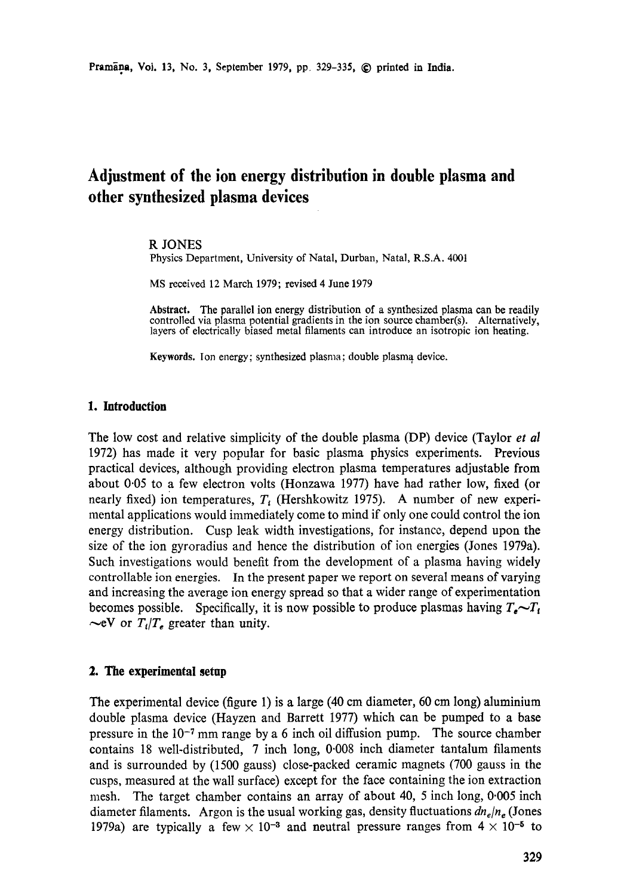# **Adjustment of the ion energy distribution in double plasma and other synthesized plasma devices**

### R JONES

Physics Department, University of Natal, Durban, Natal, R.S.A. 4001

MS received 12 March 1979; revised 4 June 1979

Abstract. The parallel ion energy distribution of a synthesized plasma can be readily controlled via plasma potential gradients in the ion source chamber(s). Alternatively, layers of electrically biased metal filaments can introduce an isotropic ion heating.

**Keywords.** Ion energy; synthesized plasma; double plasma device.

## **1. Introduction**

**The** low cost and relative simplicity of the double plasma (DP) device (Taylor *et al*  1972) has made it very popular for basic plasma physics experiments. Previous practical devices, although providing electron plasma temperatures adjustable from about 0.05 to a few electron volts (Honzawa 1977) have had rather low, fixed (or nearly fixed) ion temperatures,  $T_i$  (Hershkowitz 1975). A number of new experimental applications would immediately come to mind if only one could control the ion energy distribution. Cusp leak width investigations, for instance, depend upon the size of the ion gyroradius and hence the distribution of ion energies (Jones 1979a). Such investigations would benefit from the development of a plasma having widely controllable ion energies. In the present paper we report on several means of varying and increasing the average ion energy spread so that a wider range of experimentation becomes possible. Specifically, it is now possible to produce plasmas having  $T_e \sim T_t$  $\sim$ eV or  $T_t/T_e$  greater than unity.

## **2. The experimental setup**

The experimental device (figure 1) is a large (40 cm diameter, 60 cm long) aluminium double plasma device (Hayzen and Barrett i977) which can be pumped to a base pressure in the  $10^{-7}$  mm range by a 6 inch oil diffusion pump. The source chamber contains 18 well-distributed, 7 inch long, 0.008 inch diameter tantalum filaments and is surrounded by (1500 gauss) close-packed ceramic magnets (700 gauss in the cusps, measured at the wall surface) except for the face containing the ion extraction mesh. The target chamber contains an array of about 40, 5 inch long, 0'005 inch diameter filaments. Argon is the usual working gas, density fluctuations  $dn_e/n_e$  (Jones 1979a) are typically a few  $\times$  10<sup>-3</sup> and neutral pressure ranges from  $4 \times 10^{-5}$  to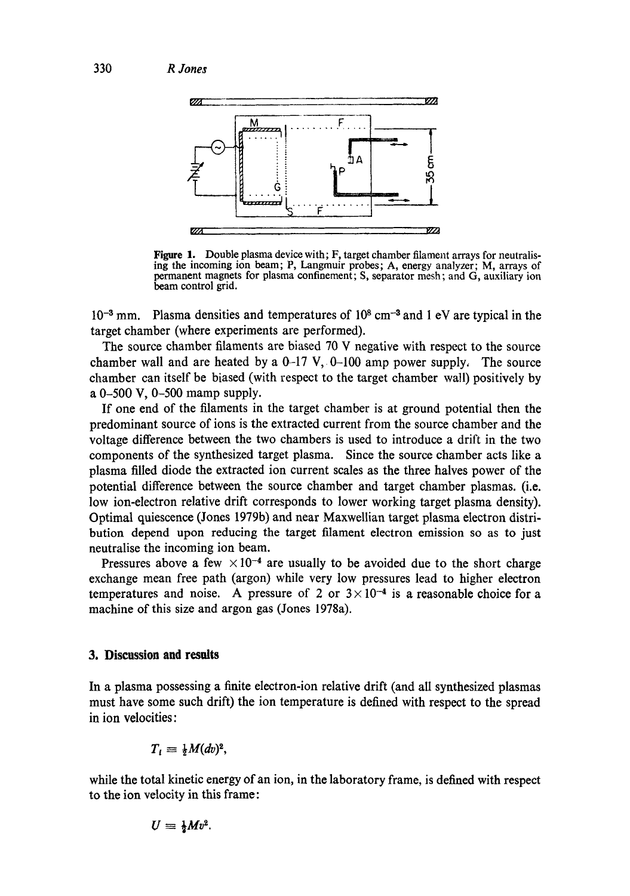

Figure 1. Double plasma device with; F, target chamber filament arrays for neutralising the incoming ion beam; P, Langmuir probes; A, energy analyzer; M, arrays of permanent magnets for plasma confinement; S, separator mesh; and G, auxiliary ion beam control grid.

 $10^{-3}$  mm. Plasma densities and temperatures of  $10^8$  cm<sup>-3</sup> and 1 eV are typical in the target chamber (where experiments are performed).

The source chamber filaments are biased 70 V negative with respect to the source chamber wall and are heated by a  $0-17$  V,  $0-100$  amp power supply. The source chamber can itself be biased (with respect to the target chamber wall) positively by a 0-500 V, 0-500 mamp supply.

If one end of the filaments in the target chamber is at ground potential then the predominant source of ions is the extracted current from the source chamber and the voltage difference between the two chambers is used to introduce a drift in the two components of the synthesized target plasma. Since the source chamber acts like a plasma filled diode the extracted ion current scales as the three halves power of the potential difference between the source chamber and target chamber plasmas. (i.e. low ion-electron relative drift corresponds to lower working target plasma density). Optimal quiescence (Jones 1979b) and near Maxwellian target plasma electron distribution depend upon reducing the target filament electron emission so as to just neutralise the incoming ion beam.

Pressures above a few  $\times 10^{-4}$  are usually to be avoided due to the short charge exchange mean free path (argon) while very low pressures lead to higher electron temperatures and noise. A pressure of 2 or  $3 \times 10^{-4}$  is a reasonable choice for a machine of this size and argon gas (Jones 1978a).

### **3. Discussion and results**

In a plasma possessing a finite electron-ion relative drift (and all synthesized plasmas must have some such drift) the ion temperature is defined with respect to the spread in ion velocities:

$$
T_i \equiv \frac{1}{2}M(dv)^2,
$$

while the total kinetic energy of an ion, in the laboratory frame, is defined with respect to the ion velocity in this frame:

$$
U=\frac{1}{2}Mv^2.
$$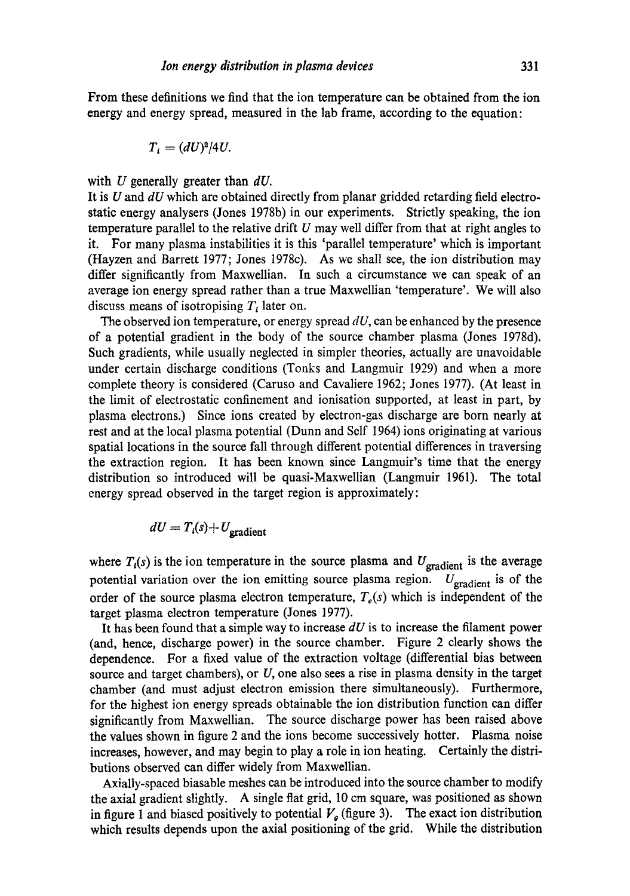From these definitions we find that the ion temperature can be obtained from the ion energy and energy spread, measured in the lab frame, according to the equation:

$$
T_i = (dU)^2/4U.
$$

with U generally greater than *dU*.

It is U and *dU* which are obtained directly from planar gridded retarding field electrostatic energy analysers (Jones 1978b) in our experiments. Strictly speaking, the ion temperature parallel to the relative drift  $U$  may well differ from that at right angles to it. For many plasma instabilities it is this 'parallel temperature' which is important (Hayzen and Barrett 1977; Jones 1978c). As we shall see, the ion distribution may differ significantly from Maxwellian. In such a circumstance we can speak of an average ion energy spread rather than a true Maxwellian 'temperature'. We will also discuss means of isotropising  $T_i$  later on.

The observed ion temperature, or energy spread *dU,* can be enhanced by the presence of a potential gradient in the body of the source chamber plasma (Jones 1978d). Such gradients, while usually neglected in simpler theories, actually are unavoidable under certain discharge conditions (Tonks and Langmuir 1929) and when a more complete theory is considered (Caruso and Cavaliere 1962; Jones 1977). (At least in the limit of electrostatic confinement and ionisation supported, at least in part, by plasma electrons.) Since ions created by electron-gas discharge are born nearly at rest and at the local plasma potential (Dunn and Self 1964) ions originating at various spatial locations in the source fall through different potential differences in traversing the extraction region. It has been known since Langmuir's time that the energy distribution so introduced will be quasi-Maxwellian (Langmuir 1961). The total energy spread observed in the target region is approximately:

$$
dU = T_i(s) + U_{\text{gradient}}
$$

where  $T_i(s)$  is the ion temperature in the source plasma and  $U_{\text{gradient}}$  is the average potential variation over the ion emitting source plasma region.  $U_{\text{gradient}}$  is of the order of the source plasma electron temperature,  $T_e(s)$  which is independent of the target plasma electron temperature (Jones 1977).

It has been found that a simple way to increase *dU* is to increase the filament power (and, hence, discharge power) in the source chamber. Figure 2 dearly shows the dependence. For a fixed value of the extraction voltage (differential bias between source and target chambers), or  $U$ , one also sees a rise in plasma density in the target chamber (and must adjust electron emission there simultaneously). Furthermore, for the highest ion energy spreads obtainable the ion distribution function can differ significantly from Maxwellian. The source discharge power has been raised above the values shown in figure 2 and the ions become successively hotter. Plasma noise increases, however, and may begin to play a role in ion heating. Certainly the distributions observed can differ widely from Maxwellian.

Axially-spaced biasable meshes can be introduced into the source chamber to modify the axial gradient slightly. A single fiat grid, 10 cm square, was positioned as shown in figure 1 and biased positively to potential  $V_a$  (figure 3). The exact ion distribution which results depends upon the axial positioning of the grid. While the distribution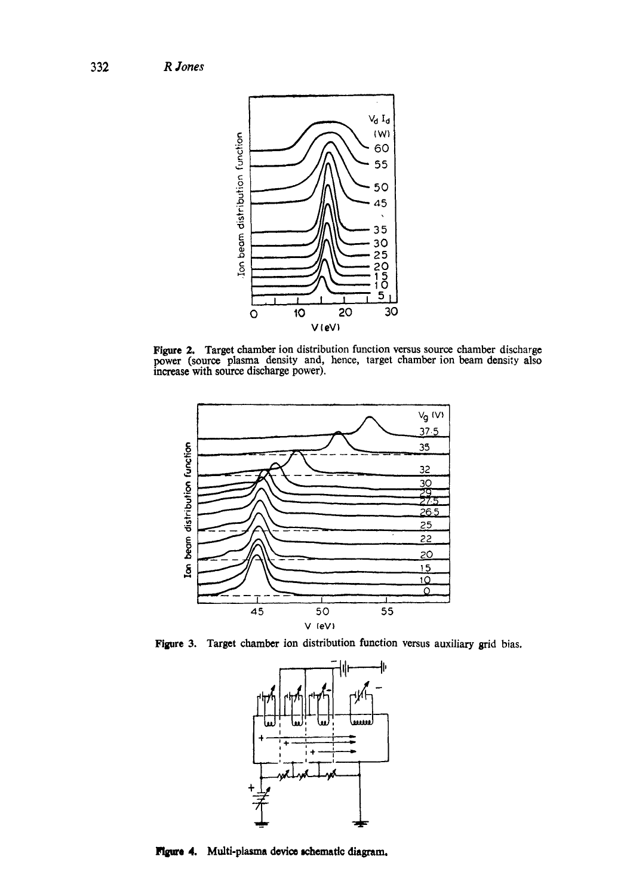

**Figure 2.** Target chamber ion distribution function versus source chamber discharge power (source plasma density and, hence, target chamber ion beam density also increase with source discharge power).



**Figure 3.**  Target chamber ion distribution function versus auxiliary grid bias.



Figure 4. Multi-plasma device schematic diagram.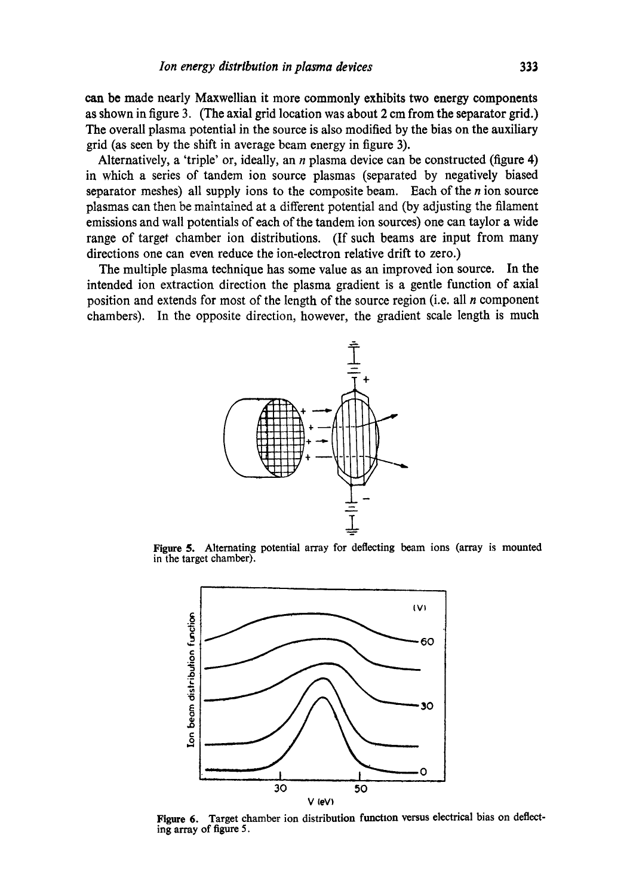can be made nearly Maxwellian it more commonly exhibits two energy components as shown in figure 3. (The axial grid location was about 2 em from the separator grid.) The overall plasma potential in the source is also modified by the bias on the auxiliary grid (as seen by the shift in average beam energy in figure 3).

Alternatively, a 'triple' or, ideally, an  $n$  plasma device can be constructed (figure 4) in which a series of tandem ion source plasmas (separated by negatively biased separator meshes) all supply ions to the composite beam. Each of the  $n$  ion source plasmas can then be maintained at a different potential and (by adjusting the filament emissions and wall potentials of each of the tandem ion sources) one can taylor a wide range of target chamber ion distributions. (If such beams are input from many directions one can even reduce the ion-electron relative drift to zero.)

The multiple plasma technique has some value as an improved ion source. In the intended ion extraction direction the plasma gradient is a gentle function of axial position and extends for most of the length of the source region (i.e. all  $n$  component chambers). In the opposite direction, however, the gradient scale length is much



**Figure** 5. Alternating potential array for deflecting beam ions (array is mounted in the target chamber).



Figure 6. Target chamber ion distribution function versus electrical bias on deflecting array of figure 5.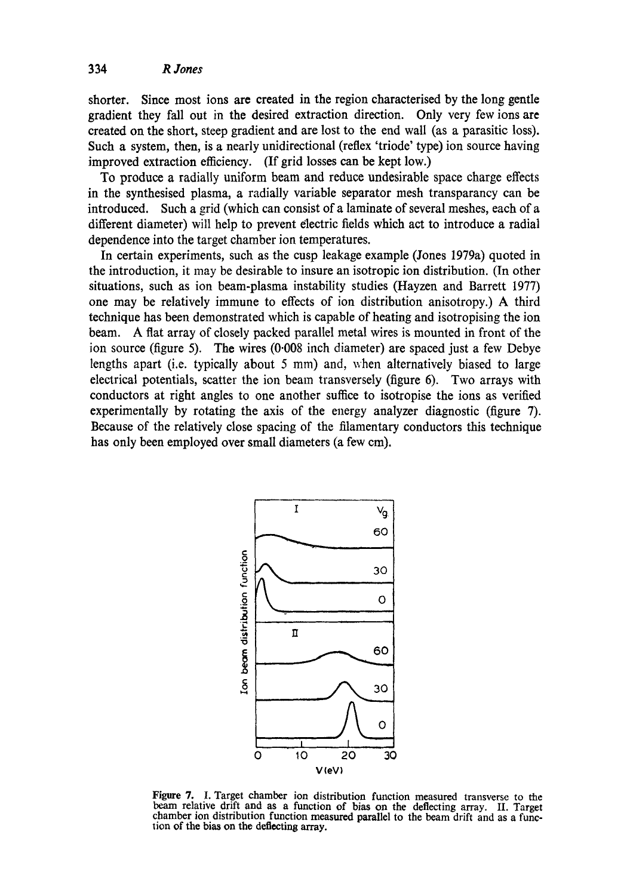shorter. Since most ions are created in the region characterised by the long gentle gradient they fall out in the desired extraction direction. Only very few ions are created on the short, steep gradient and are lost to the end wall (as a parasitic loss). Such a system, then, is a nearly unidirectional (reflex 'triode' type) ion source having improved extraction efficiency. (If grid losses can be kept low.)

To produce a radially uniform beam and reduce undesirable space charge effects in the synthesised plasma, a radially variable separator mesh transparancy can be introduced. Such a grid (which can consist of a laminate of several meshes, each of a different diameter) will help to prevent dectric fields which act to introduce a radial dependence into the target chamber ion temperatures.

In certain experiments, such as the cusp leakage example (Jones 1979a) quoted in the introduction, it may be desirable to insure an isotropic ion distribution. (In other situations, such as ion beam-plasma instability studies (Hayzen and Barrett 1977) one may be relatively immune to effects of ion distribution anisotropy.) A third technique has been demonstrated which is capable of heating and isotropising the ion beam. A fiat array of closely packed parallel metal wires is mounted in front of the ion source (figure 5). The wires (0.008 inch diameter) are spaced just a few Debye lengths apart (i.e. typically about 5 mm) and, when alternatively biased to large electrical potentials, scatter the ion beam transversely (figure 6). Two arrays with conductors at right angles to one another suffice to isotropise the ions as verified experimentally by rotating the axis of the energy analyzer diagnostic (figure 7). Because of the relatively close spacing of the filamentary conductors this technique has only been employed over small diameters (a few cm).



Figure 7. I. Target chamber ion distribution function measured transverse to the beam relative drift and as a function of bias on the deflecting array. II. Target chamber ion distribution function measured parallel to the beam drift and as a function of the bias on the deflecting array.